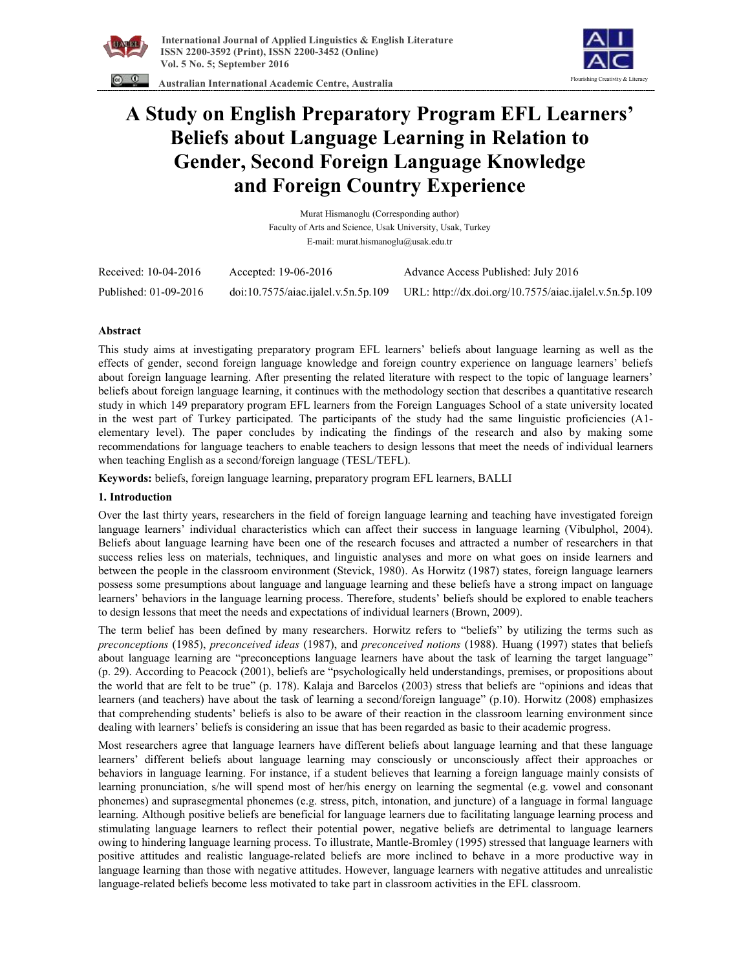



 **Australian International Academic Centre, Australia** 

# **A Study on English Preparatory Program EFL Learners' Beliefs about Language Learning in Relation to Gender, Second Foreign Language Knowledge and Foreign Country Experience**

Murat Hismanoglu (Corresponding author) Faculty of Arts and Science, Usak University, Usak, Turkey E-mail: murat.hismanoglu@usak.edu.tr

| Received: 10-04-2016  | Accepted: 19-06-2016 | Advance Access Published: July 2016                                                        |
|-----------------------|----------------------|--------------------------------------------------------------------------------------------|
| Published: 01-09-2016 |                      | doi:10.7575/aiac.ijalel.v.5n.5p.109 URL: http://dx.doi.org/10.7575/aiac.ijalel.v.5n.5p.109 |

## **Abstract**

This study aims at investigating preparatory program EFL learners' beliefs about language learning as well as the effects of gender, second foreign language knowledge and foreign country experience on language learners' beliefs about foreign language learning. After presenting the related literature with respect to the topic of language learners' beliefs about foreign language learning, it continues with the methodology section that describes a quantitative research study in which 149 preparatory program EFL learners from the Foreign Languages School of a state university located in the west part of Turkey participated. The participants of the study had the same linguistic proficiencies (A1 elementary level). The paper concludes by indicating the findings of the research and also by making some recommendations for language teachers to enable teachers to design lessons that meet the needs of individual learners when teaching English as a second/foreign language (TESL/TEFL).

**Keywords:** beliefs, foreign language learning, preparatory program EFL learners, BALLI

## **1. Introduction**

Over the last thirty years, researchers in the field of foreign language learning and teaching have investigated foreign language learners' individual characteristics which can affect their success in language learning (Vibulphol, 2004). Beliefs about language learning have been one of the research focuses and attracted a number of researchers in that success relies less on materials, techniques, and linguistic analyses and more on what goes on inside learners and between the people in the classroom environment (Stevick, 1980). As Horwitz (1987) states, foreign language learners possess some presumptions about language and language learning and these beliefs have a strong impact on language learners' behaviors in the language learning process. Therefore, students' beliefs should be explored to enable teachers to design lessons that meet the needs and expectations of individual learners (Brown, 2009).

The term belief has been defined by many researchers. Horwitz refers to "beliefs" by utilizing the terms such as *preconceptions* (1985), *preconceived ideas* (1987), and *preconceived notions* (1988). Huang (1997) states that beliefs about language learning are "preconceptions language learners have about the task of learning the target language" (p. 29). According to Peacock (2001), beliefs are "psychologically held understandings, premises, or propositions about the world that are felt to be true" (p. 178). Kalaja and Barcelos (2003) stress that beliefs are "opinions and ideas that learners (and teachers) have about the task of learning a second/foreign language" (p.10). Horwitz (2008) emphasizes that comprehending students' beliefs is also to be aware of their reaction in the classroom learning environment since dealing with learners' beliefs is considering an issue that has been regarded as basic to their academic progress.

Most researchers agree that language learners have different beliefs about language learning and that these language learners' different beliefs about language learning may consciously or unconsciously affect their approaches or behaviors in language learning. For instance, if a student believes that learning a foreign language mainly consists of learning pronunciation, s/he will spend most of her/his energy on learning the segmental (e.g. vowel and consonant phonemes) and suprasegmental phonemes (e.g. stress, pitch, intonation, and juncture) of a language in formal language learning. Although positive beliefs are beneficial for language learners due to facilitating language learning process and stimulating language learners to reflect their potential power, negative beliefs are detrimental to language learners owing to hindering language learning process. To illustrate, Mantle-Bromley (1995) stressed that language learners with positive attitudes and realistic language-related beliefs are more inclined to behave in a more productive way in language learning than those with negative attitudes. However, language learners with negative attitudes and unrealistic language-related beliefs become less motivated to take part in classroom activities in the EFL classroom.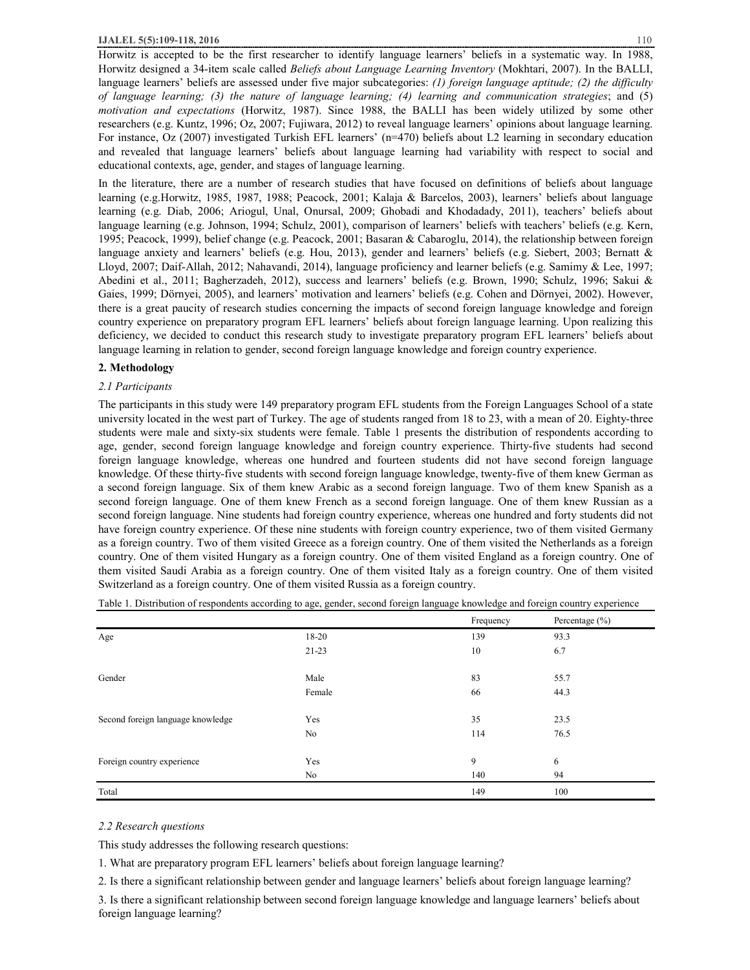Horwitz is accepted to be the first researcher to identify language learners' beliefs in a systematic way. In 1988, Horwitz designed a 34-item scale called *Beliefs about Language Learning Inventory* (Mokhtari, 2007). In the BALLI, language learners' beliefs are assessed under five major subcategories: *(1) foreign language aptitude; (2) the difficulty of language learning; (3) the nature of language learning; (4) learning and communication strategies*; and (5) *motivation and expectations* (Horwitz, 1987). Since 1988, the BALLI has been widely utilized by some other researchers (e.g. Kuntz, 1996; Oz, 2007; Fujiwara, 2012) to reveal language learners' opinions about language learning. For instance, Oz (2007) investigated Turkish EFL learners' (n=470) beliefs about L2 learning in secondary education and revealed that language learners' beliefs about language learning had variability with respect to social and educational contexts, age, gender, and stages of language learning.

In the literature, there are a number of research studies that have focused on definitions of beliefs about language learning (e.g.Horwitz, 1985, 1987, 1988; Peacock, 2001; Kalaja & Barcelos, 2003), learners' beliefs about language learning (e.g. Diab, 2006; Ariogul, Unal, Onursal, 2009; Ghobadi and Khodadady, 2011), teachers' beliefs about language learning (e.g. Johnson, 1994; Schulz, 2001), comparison of learners' beliefs with teachers' beliefs (e.g. Kern, 1995; Peacock, 1999), belief change (e.g. Peacock, 2001; Basaran & Cabaroglu, 2014), the relationship between foreign language anxiety and learners' beliefs (e.g. Hou, 2013), gender and learners' beliefs (e.g. Siebert, 2003; Bernatt & Lloyd, 2007; Daif-Allah, 2012; Nahavandi, 2014), language proficiency and learner beliefs (e.g. Samimy & Lee, 1997; Abedini et al., 2011; Bagherzadeh, 2012), success and learners' beliefs (e.g. Brown, 1990; Schulz, 1996; Sakui & Gaies, 1999; Dörnyei, 2005), and learners' motivation and learners' beliefs (e.g. Cohen and Dörnyei, 2002). However, there is a great paucity of research studies concerning the impacts of second foreign language knowledge and foreign country experience on preparatory program EFL learners' beliefs about foreign language learning. Upon realizing this deficiency, we decided to conduct this research study to investigate preparatory program EFL learners' beliefs about language learning in relation to gender, second foreign language knowledge and foreign country experience.

#### **2. Methodology**

#### *2.1 Participants*

The participants in this study were 149 preparatory program EFL students from the Foreign Languages School of a state university located in the west part of Turkey. The age of students ranged from 18 to 23, with a mean of 20. Eighty-three students were male and sixty-six students were female. Table 1 presents the distribution of respondents according to age, gender, second foreign language knowledge and foreign country experience. Thirty-five students had second foreign language knowledge, whereas one hundred and fourteen students did not have second foreign language knowledge. Of these thirty-five students with second foreign language knowledge, twenty-five of them knew German as a second foreign language. Six of them knew Arabic as a second foreign language. Two of them knew Spanish as a second foreign language. One of them knew French as a second foreign language. One of them knew Russian as a second foreign language. Nine students had foreign country experience, whereas one hundred and forty students did not have foreign country experience. Of these nine students with foreign country experience, two of them visited Germany as a foreign country. Two of them visited Greece as a foreign country. One of them visited the Netherlands as a foreign country. One of them visited Hungary as a foreign country. One of them visited England as a foreign country. One of them visited Saudi Arabia as a foreign country. One of them visited Italy as a foreign country. One of them visited Switzerland as a foreign country. One of them visited Russia as a foreign country.

|                                   |         | Frequency | Percentage $(\% )$ |
|-----------------------------------|---------|-----------|--------------------|
| Age                               | 18-20   | 139       | 93.3               |
|                                   | $21-23$ | 10        | 6.7                |
|                                   |         |           |                    |
| Gender                            | Male    | 83        | 55.7               |
|                                   | Female  | 66        | 44.3               |
|                                   |         |           |                    |
| Second foreign language knowledge | Yes     | 35        | 23.5               |
|                                   | No      | 114       | 76.5               |
|                                   |         |           |                    |
| Foreign country experience        | Yes     | 9         | 6                  |
|                                   | No      | 140       | 94                 |
| Total                             |         | 149       | 100                |

Table 1. Distribution of respondents according to age, gender, second foreign language knowledge and foreign country experience

#### *2.2 Research questions*

This study addresses the following research questions:

1. What are preparatory program EFL learners' beliefs about foreign language learning?

2. Is there a significant relationship between gender and language learners' beliefs about foreign language learning?

3. Is there a significant relationship between second foreign language knowledge and language learners' beliefs about foreign language learning?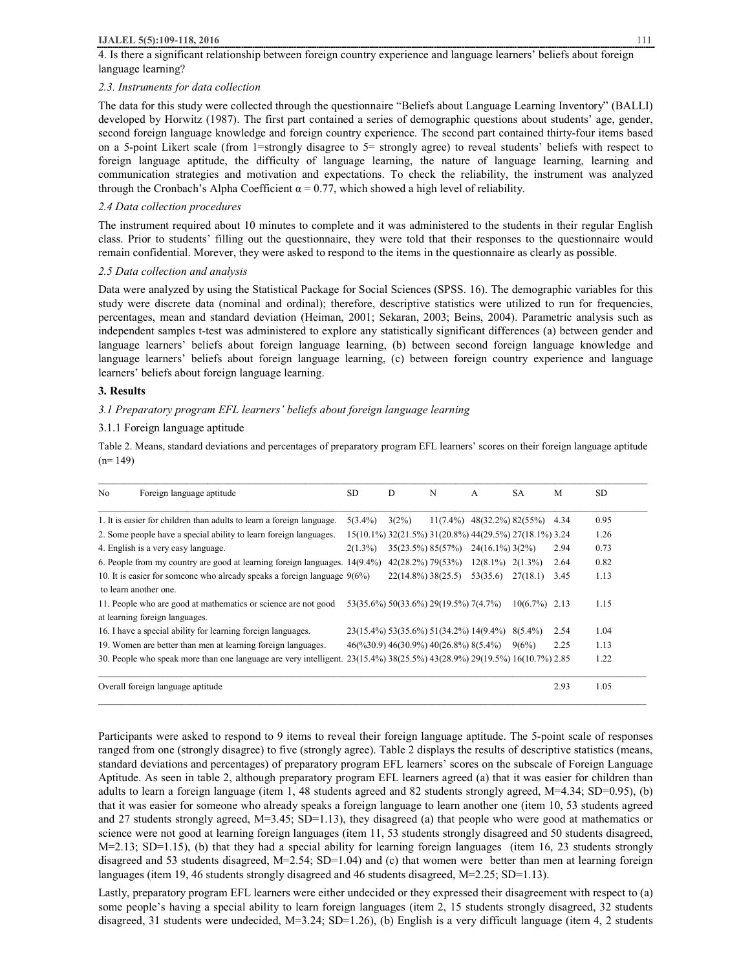4. Is there a significant relationship between foreign country experience and language learners' beliefs about foreign language learning?

#### *2.3. Instruments for data collection*

The data for this study were collected through the questionnaire "Beliefs about Language Learning Inventory" (BALLI) developed by Horwitz (1987). The first part contained a series of demographic questions about students' age, gender, second foreign language knowledge and foreign country experience. The second part contained thirty-four items based on a 5-point Likert scale (from 1=strongly disagree to 5= strongly agree) to reveal students' beliefs with respect to foreign language aptitude, the difficulty of language learning, the nature of language learning, learning and communication strategies and motivation and expectations. To check the reliability, the instrument was analyzed through the Cronbach's Alpha Coefficient  $\alpha = 0.77$ , which showed a high level of reliability.

## *2.4 Data collection procedures*

The instrument required about 10 minutes to complete and it was administered to the students in their regular English class. Prior to students' filling out the questionnaire, they were told that their responses to the questionnaire would remain confidential. Morever, they were asked to respond to the items in the questionnaire as clearly as possible.

## *2.5 Data collection and analysis*

Data were analyzed by using the Statistical Package for Social Sciences (SPSS. 16). The demographic variables for this study were discrete data (nominal and ordinal); therefore, descriptive statistics were utilized to run for frequencies, percentages, mean and standard deviation (Heiman, 2001; Sekaran, 2003; Beins, 2004). Parametric analysis such as independent samples t-test was administered to explore any statistically significant differences (a) between gender and language learners' beliefs about foreign language learning, (b) between second foreign language knowledge and language learners' beliefs about foreign language learning, (c) between foreign country experience and language learners' beliefs about foreign language learning.

## **3. Results**

*3.1 Preparatory program EFL learners' beliefs about foreign language learning* 

## 3.1.1 Foreign language aptitude

Table 2. Means, standard deviations and percentages of preparatory program EFL learners' scores on their foreign language aptitude  $(n= 149)$ 

| No. | Foreign language aptitude                                                                                                | <b>SD</b>  | D                     | N                                                                                        | A                             | <b>SA</b>        | M    | <b>SD</b> |
|-----|--------------------------------------------------------------------------------------------------------------------------|------------|-----------------------|------------------------------------------------------------------------------------------|-------------------------------|------------------|------|-----------|
|     | 1. It is easier for children than adults to learn a foreign language.                                                    | $5(3.4\%)$ | 3(2%)                 |                                                                                          | $11(7.4\%)$ 48(32.2%) 82(55%) |                  | 4.34 | 0.95      |
|     | 2. Some people have a special ability to learn foreign languages.                                                        |            |                       | 15(10.1%) 32(21.5%) 31(20.8%) 44(29.5%) 27(18.1%) 3.24                                   |                               |                  |      | 1.26      |
|     | 4. English is a very easy language.                                                                                      | $2(1.3\%)$ | 35(23.5%) 85(57%)     |                                                                                          | $24(16.1\%)$ 3(2%)            |                  | 2.94 | 0.73      |
|     | 6. People from my country are good at learning foreign languages. 14(9.4%)                                               |            | 42(28.2%) 79(53%)     |                                                                                          | $12(8.1\%)$ $2(1.3\%)$        |                  | 2.64 | 0.82      |
|     | 10. It is easier for someone who already speaks a foreign language $9(6\%)$                                              |            | $22(14.8\%)$ 38(25.5) |                                                                                          | 53(35.6)                      | 27(18.1)         | 3.45 | 1.13      |
|     | to learn another one.                                                                                                    |            |                       |                                                                                          |                               |                  |      |           |
|     | 11. People who are good at mathematics or science are not good                                                           |            |                       | 53(35.6%) 50(33.6%) 29(19.5%) 7(4.7%)                                                    |                               | $10(6.7\%)$ 2.13 |      | 1.15      |
|     | at learning foreign languages.                                                                                           |            |                       |                                                                                          |                               |                  |      |           |
|     | 16. I have a special ability for learning foreign languages.                                                             |            |                       | 23(15.4%) 53(35.6%) 51(34.2%) 14(9.4%) 8(5.4%)                                           |                               |                  | 2.54 | 1.04      |
|     | 19. Women are better than men at learning foreign languages.                                                             |            |                       | $46(\frac{9}{630.9})$ $46(\frac{30.9\%}{9})$ $40(\frac{26.8\%}{8})$ $8(\frac{5.4\%}{9})$ |                               | 9(6%)            | 2.25 | 1.13      |
|     | 30. People who speak more than one language are very intelligent. 23(15.4%) 38(25.5%) 43(28.9%) 29(19.5%) 16(10.7%) 2.85 |            |                       |                                                                                          |                               |                  |      | 1.22      |
|     | Overall foreign language aptitude                                                                                        |            |                       |                                                                                          |                               |                  | 2.93 | 1.05      |

Participants were asked to respond to 9 items to reveal their foreign language aptitude. The 5-point scale of responses ranged from one (strongly disagree) to five (strongly agree). Table 2 displays the results of descriptive statistics (means, standard deviations and percentages) of preparatory program EFL learners' scores on the subscale of Foreign Language Aptitude. As seen in table 2, although preparatory program EFL learners agreed (a) that it was easier for children than adults to learn a foreign language (item 1, 48 students agreed and 82 students strongly agreed, M=4.34; SD=0.95), (b) that it was easier for someone who already speaks a foreign language to learn another one (item 10, 53 students agreed and 27 students strongly agreed, M=3.45; SD=1.13), they disagreed (a) that people who were good at mathematics or science were not good at learning foreign languages (item 11, 53 students strongly disagreed and 50 students disagreed, M=2.13; SD=1.15), (b) that they had a special ability for learning foreign languages (item 16, 23 students strongly disagreed and 53 students disagreed, M=2.54; SD=1.04) and (c) that women were better than men at learning foreign languages (item 19, 46 students strongly disagreed and 46 students disagreed, M=2.25; SD=1.13).

Lastly, preparatory program EFL learners were either undecided or they expressed their disagreement with respect to (a) some people's having a special ability to learn foreign languages (item 2, 15 students strongly disagreed, 32 students disagreed, 31 students were undecided, M=3.24; SD=1.26), (b) English is a very difficult language (item 4, 2 students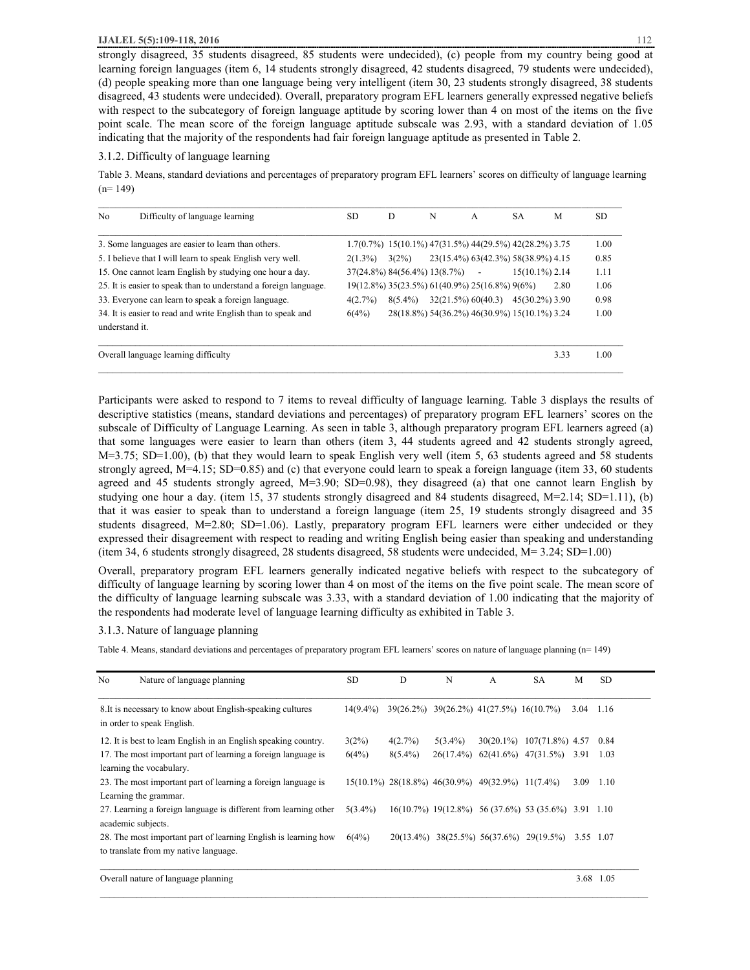strongly disagreed, 35 students disagreed, 85 students were undecided), (c) people from my country being good at learning foreign languages (item 6, 14 students strongly disagreed, 42 students disagreed, 79 students were undecided), (d) people speaking more than one language being very intelligent (item 30, 23 students strongly disagreed, 38 students disagreed, 43 students were undecided). Overall, preparatory program EFL learners generally expressed negative beliefs with respect to the subcategory of foreign language aptitude by scoring lower than 4 on most of the items on the five point scale. The mean score of the foreign language aptitude subscale was 2.93, with a standard deviation of 1.05 indicating that the majority of the respondents had fair foreign language aptitude as presented in Table 2.

#### 3.1.2. Difficulty of language learning

Table 3. Means, standard deviations and percentages of preparatory program EFL learners' scores on difficulty of language learning  $(n= 149)$ 

| N <sub>0</sub> | Difficulty of language learning                                  | SD.        | D          | N                                             | $\mathsf{A}$ | <b>SA</b>                                                          | M    | SD.  |
|----------------|------------------------------------------------------------------|------------|------------|-----------------------------------------------|--------------|--------------------------------------------------------------------|------|------|
|                | 3. Some languages are easier to learn than others.               |            |            |                                               |              | $1.7(0.7%)$ $15(10.1%)$ $47(31.5%)$ $44(29.5%)$ $42(28.2%)$ $3.75$ |      | 1.00 |
|                | 5. I believe that I will learn to speak English very well.       | $2(1.3\%)$ | 3(2%)      |                                               |              | 23(15.4%) 63(42.3%) 58(38.9%) 4.15                                 |      | 0.85 |
|                | 15. One cannot learn English by studying one hour a day.         |            |            | $37(24.8\%) 84(56.4\%) 13(8.7\%)$ -           |              | $15(10.1\%)$ 2.14                                                  |      | 1.11 |
|                | 25. It is easier to speak than to understand a foreign language. |            |            | 19(12.8%) 35(23.5%) 61(40.9%) 25(16.8%) 9(6%) |              |                                                                    | 2.80 | 1.06 |
|                | 33. Everyone can learn to speak a foreign language.              | 4(2.7%)    | $8(5.4\%)$ |                                               |              | $32(21.5\%) 60(40.3) 45(30.2\%) 3.90$                              |      | 0.98 |
| understand it. | 34. It is easier to read and write English than to speak and     | 6(4%)      |            |                                               |              | 28(18.8%) 54(36.2%) 46(30.9%) 15(10.1%) 3.24                       |      | 1.00 |
|                | Overall language learning difficulty                             |            |            |                                               |              |                                                                    | 3.33 | 1.00 |

Participants were asked to respond to 7 items to reveal difficulty of language learning. Table 3 displays the results of descriptive statistics (means, standard deviations and percentages) of preparatory program EFL learners' scores on the subscale of Difficulty of Language Learning. As seen in table 3, although preparatory program EFL learners agreed (a) that some languages were easier to learn than others (item 3, 44 students agreed and 42 students strongly agreed,  $M=3.75$ ; SD=1.00), (b) that they would learn to speak English very well (item 5, 63 students agreed and 58 students strongly agreed, M=4.15; SD=0.85) and (c) that everyone could learn to speak a foreign language (item 33, 60 students agreed and 45 students strongly agreed, M=3.90; SD=0.98), they disagreed (a) that one cannot learn English by studying one hour a day. (item 15, 37 students strongly disagreed and 84 students disagreed, M=2.14; SD=1.11), (b) that it was easier to speak than to understand a foreign language (item 25, 19 students strongly disagreed and 35 students disagreed, M=2.80; SD=1.06). Lastly, preparatory program EFL learners were either undecided or they expressed their disagreement with respect to reading and writing English being easier than speaking and understanding (item 34, 6 students strongly disagreed, 28 students disagreed, 58 students were undecided, M= 3.24; SD=1.00)

Overall, preparatory program EFL learners generally indicated negative beliefs with respect to the subcategory of difficulty of language learning by scoring lower than 4 on most of the items on the five point scale. The mean score of the difficulty of language learning subscale was 3.33, with a standard deviation of 1.00 indicating that the majority of the respondents had moderate level of language learning difficulty as exhibited in Table 3.

#### 3.1.3. Nature of language planning

Table 4. Means, standard deviations and percentages of preparatory program EFL learners' scores on nature of language planning (n= 149)

| No | Nature of language planning                                                              | <b>SD</b>   | D          | N                                                | A | <b>SA</b>                                                 | M         | <b>SD</b> |
|----|------------------------------------------------------------------------------------------|-------------|------------|--------------------------------------------------|---|-----------------------------------------------------------|-----------|-----------|
|    | 8. It is necessary to know about English-speaking cultures<br>in order to speak English. | $14(9.4\%)$ |            | 39(26.2%) 39(26.2%) 41(27.5%) 16(10.7%)          |   |                                                           | 3.04      | 1.16      |
|    | 12. It is best to learn English in an English speaking country.                          | 3(2%)       | 4(2.7%)    | $5(3.4\%)$                                       |   | 30(20.1%) 107(71.8%) 4.57                                 |           | 0.84      |
|    | 17. The most important part of learning a foreign language is                            | 6(4%)       | $8(5.4\%)$ | $26(17.4\%)$                                     |   | $62(41.6\%)$ $47(31.5\%)$ $3.91$ $1.03$                   |           |           |
|    | learning the vocabulary.                                                                 |             |            |                                                  |   |                                                           |           |           |
|    | 23. The most important part of learning a foreign language is                            |             |            | 15(10.1%) 28(18.8%) 46(30.9%) 49(32.9%) 11(7.4%) |   |                                                           | 3.09      | 1.10      |
|    | Learning the grammar.                                                                    |             |            |                                                  |   |                                                           |           |           |
|    | 27. Learning a foreign language is different from learning other<br>academic subjects.   | $5(3.4\%)$  |            |                                                  |   | $16(10.7\%)$ $19(12.8\%)$ 56 (37.6%) 53 (35.6%) 3.91 1.10 |           |           |
|    | 28. The most important part of learning English is learning how                          | 6(4%)       |            |                                                  |   | 20(13.4%) 38(25.5%) 56(37.6%) 29(19.5%)                   | 3.55 1.07 |           |
|    | to translate from my native language.                                                    |             |            |                                                  |   |                                                           |           |           |
|    | Overall nature of language planning                                                      |             |            |                                                  |   |                                                           |           | 3.68 1.05 |

 $\_$  , and the state of the state of the state of the state of the state of the state of the state of the state of the state of the state of the state of the state of the state of the state of the state of the state of the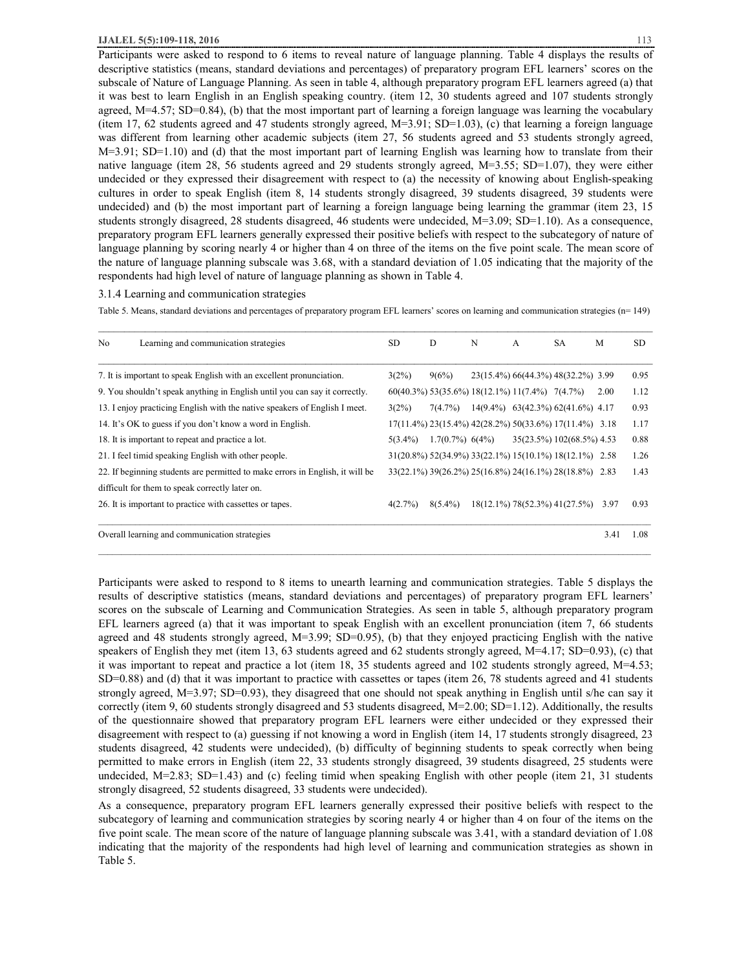Participants were asked to respond to 6 items to reveal nature of language planning. Table 4 displays the results of descriptive statistics (means, standard deviations and percentages) of preparatory program EFL learners' scores on the subscale of Nature of Language Planning. As seen in table 4, although preparatory program EFL learners agreed (a) that it was best to learn English in an English speaking country. (item 12, 30 students agreed and 107 students strongly agreed, M=4.57; SD=0.84), (b) that the most important part of learning a foreign language was learning the vocabulary (item 17, 62 students agreed and 47 students strongly agreed,  $M=3.91$ ; SD=1.03), (c) that learning a foreign language was different from learning other academic subjects (item 27, 56 students agreed and 53 students strongly agreed,  $M=3.91$ ; SD=1.10) and (d) that the most important part of learning English was learning how to translate from their native language (item 28, 56 students agreed and 29 students strongly agreed, M=3.55; SD=1.07), they were either undecided or they expressed their disagreement with respect to (a) the necessity of knowing about English-speaking cultures in order to speak English (item 8, 14 students strongly disagreed, 39 students disagreed, 39 students were undecided) and (b) the most important part of learning a foreign language being learning the grammar (item 23, 15 students strongly disagreed, 28 students disagreed, 46 students were undecided, M=3.09; SD=1.10). As a consequence, preparatory program EFL learners generally expressed their positive beliefs with respect to the subcategory of nature of language planning by scoring nearly 4 or higher than 4 on three of the items on the five point scale. The mean score of the nature of language planning subscale was 3.68, with a standard deviation of 1.05 indicating that the majority of the respondents had high level of nature of language planning as shown in Table 4.

#### 3.1.4 Learning and communication strategies

Table 5. Means, standard deviations and percentages of preparatory program EFL learners' scores on learning and communication strategies (n= 149)

| No | Learning and communication strategies                                         | SD.        | D                                                 | N | A | <b>SA</b>                                              | M    | <b>SD</b> |
|----|-------------------------------------------------------------------------------|------------|---------------------------------------------------|---|---|--------------------------------------------------------|------|-----------|
|    | 7. It is important to speak English with an excellent pronunciation.          | 3(2%)      | 9(6%)                                             |   |   | 23(15.4%) 66(44.3%) 48(32.2%) 3.99                     |      | 0.95      |
|    | 9. You shouldn't speak anything in English until you can say it correctly.    |            | $60(40.3\%)$ 53(35.6%) 18(12.1%) 11(7.4%) 7(4.7%) |   |   |                                                        | 2.00 | 1.12      |
|    | 13. I enjoy practicing English with the native speakers of English I meet.    | 3(2%)      | 7(4.7%)                                           |   |   | $14(9.4\%)$ 63(42.3%) 62(41.6%) 4.17                   |      | 0.93      |
|    | 14. It's OK to guess if you don't know a word in English.                     |            |                                                   |   |   | 17(11.4%) 23(15.4%) 42(28.2%) 50(33.6%) 17(11.4%) 3.18 |      | 1.17      |
|    | 18. It is important to repeat and practice a lot.                             | $5(3.4\%)$ | $1.7(0.7\%)$ 6(4%)                                |   |   | 35(23.5%) 102(68.5%) 4.53                              |      | 0.88      |
|    | 21. I feel timid speaking English with other people.                          |            |                                                   |   |   | 31(20.8%) 52(34.9%) 33(22.1%) 15(10.1%) 18(12.1%) 2.58 |      | 1.26      |
|    | 22. If beginning students are permitted to make errors in English, it will be |            |                                                   |   |   | 33(22.1%) 39(26.2%) 25(16.8%) 24(16.1%) 28(18.8%) 2.83 |      | 1.43      |
|    | difficult for them to speak correctly later on.                               |            |                                                   |   |   |                                                        |      |           |
|    | 26. It is important to practice with cassettes or tapes.                      | 4(2.7%)    | $8(5.4\%)$                                        |   |   | 18(12.1%) 78(52.3%) 41(27.5%)                          | 3.97 | 0.93      |
|    | Overall learning and communication strategies                                 |            |                                                   |   |   |                                                        | 3.41 | 1.08      |

Participants were asked to respond to 8 items to unearth learning and communication strategies. Table 5 displays the results of descriptive statistics (means, standard deviations and percentages) of preparatory program EFL learners' scores on the subscale of Learning and Communication Strategies. As seen in table 5, although preparatory program EFL learners agreed (a) that it was important to speak English with an excellent pronunciation (item 7, 66 students agreed and 48 students strongly agreed, M=3.99; SD=0.95), (b) that they enjoyed practicing English with the native speakers of English they met (item 13, 63 students agreed and 62 students strongly agreed, M=4.17; SD=0.93), (c) that it was important to repeat and practice a lot (item 18, 35 students agreed and 102 students strongly agreed, M=4.53; SD=0.88) and (d) that it was important to practice with cassettes or tapes (item 26, 78 students agreed and 41 students strongly agreed, M=3.97; SD=0.93), they disagreed that one should not speak anything in English until s/he can say it correctly (item 9, 60 students strongly disagreed and 53 students disagreed, M=2.00; SD=1.12). Additionally, the results of the questionnaire showed that preparatory program EFL learners were either undecided or they expressed their disagreement with respect to (a) guessing if not knowing a word in English (item 14, 17 students strongly disagreed, 23 students disagreed, 42 students were undecided), (b) difficulty of beginning students to speak correctly when being permitted to make errors in English (item 22, 33 students strongly disagreed, 39 students disagreed, 25 students were undecided, M=2.83; SD=1.43) and (c) feeling timid when speaking English with other people (item 21, 31 students strongly disagreed, 52 students disagreed, 33 students were undecided).

As a consequence, preparatory program EFL learners generally expressed their positive beliefs with respect to the subcategory of learning and communication strategies by scoring nearly 4 or higher than 4 on four of the items on the five point scale. The mean score of the nature of language planning subscale was 3.41, with a standard deviation of 1.08 indicating that the majority of the respondents had high level of learning and communication strategies as shown in Table 5.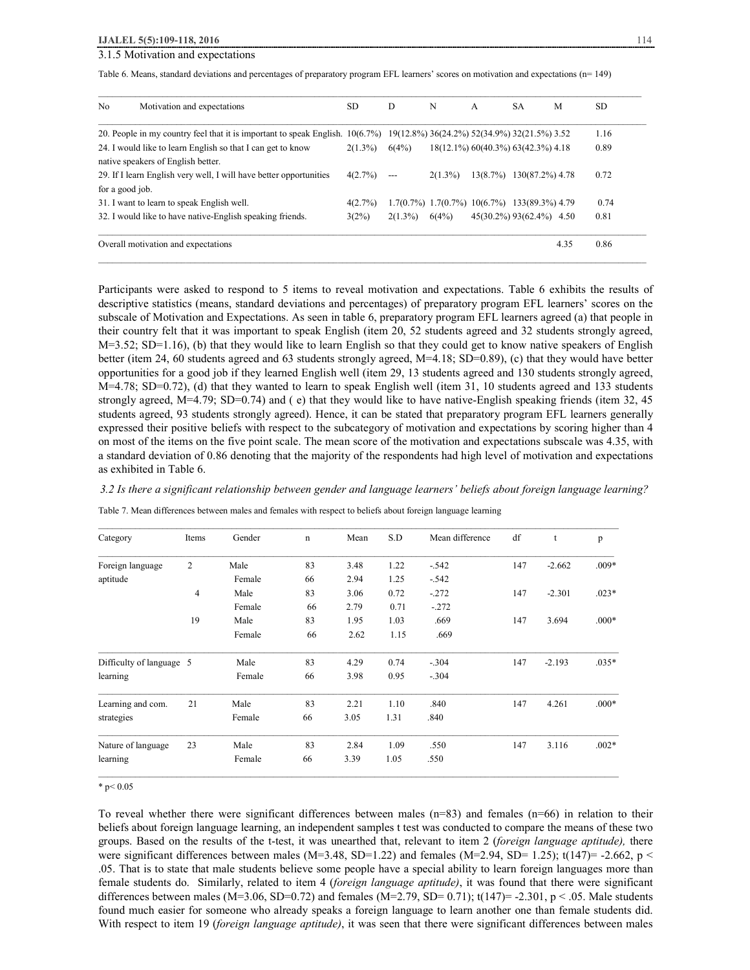# 3.1.5 Motivation and expectations

Table 6. Means, standard deviations and percentages of preparatory program EFL learners' scores on motivation and expectations (n= 149)

| No              | Motivation and expectations                                          | <b>SD</b>   | D          | N                                            | $\mathsf{A}$                       | <b>SA</b>       | M    | <b>SD</b> |
|-----------------|----------------------------------------------------------------------|-------------|------------|----------------------------------------------|------------------------------------|-----------------|------|-----------|
|                 | 20. People in my country feel that it is important to speak English. | $10(6.7\%)$ |            | 19(12.8%) 36(24.2%) 52(34.9%) 32(21.5%) 3.52 |                                    |                 |      | 1.16      |
|                 | 24. I would like to learn English so that I can get to know          | $2(1.3\%)$  | 6(4%)      |                                              | 18(12.1%) 60(40.3%) 63(42.3%) 4.18 |                 |      | 0.89      |
|                 | native speakers of English better.                                   |             |            |                                              |                                    |                 |      |           |
|                 | 29. If I learn English very well, I will have better opportunities   | 4(2.7%)     | ---        | $2(1.3\%)$                                   | 13(8.7%)                           | 130(87.2%) 4.78 |      | 0.72      |
| for a good job. |                                                                      |             |            |                                              |                                    |                 |      |           |
|                 | 31. I want to learn to speak English well.                           | 4(2.7%)     |            | $1.7(0.7\%)$ $1.7(0.7\%)$ $10(6.7\%)$        |                                    | 133(89.3%) 4.79 |      | 0.74      |
|                 | 32. I would like to have native-English speaking friends.            | 3(2%)       | $2(1.3\%)$ | 6(4%)                                        | 45(30.2%) 93(62.4%) 4.50           |                 |      | 0.81      |
|                 | Overall motivation and expectations                                  |             |            |                                              |                                    |                 | 4.35 | 0.86      |

Participants were asked to respond to 5 items to reveal motivation and expectations. Table 6 exhibits the results of descriptive statistics (means, standard deviations and percentages) of preparatory program EFL learners' scores on the subscale of Motivation and Expectations. As seen in table 6, preparatory program EFL learners agreed (a) that people in their country felt that it was important to speak English (item 20, 52 students agreed and 32 students strongly agreed,  $M=3.52$ ; SD=1.16), (b) that they would like to learn English so that they could get to know native speakers of English better (item 24, 60 students agreed and 63 students strongly agreed, M=4.18; SD=0.89), (c) that they would have better opportunities for a good job if they learned English well (item 29, 13 students agreed and 130 students strongly agreed, M=4.78; SD=0.72), (d) that they wanted to learn to speak English well (item 31, 10 students agreed and 133 students strongly agreed, M=4.79; SD=0.74) and ( e) that they would like to have native-English speaking friends (item 32, 45 students agreed, 93 students strongly agreed). Hence, it can be stated that preparatory program EFL learners generally expressed their positive beliefs with respect to the subcategory of motivation and expectations by scoring higher than 4 on most of the items on the five point scale. The mean score of the motivation and expectations subscale was 4.35, with a standard deviation of 0.86 denoting that the majority of the respondents had high level of motivation and expectations as exhibited in Table 6.

#### *3.2 Is there a significant relationship between gender and language learners' beliefs about foreign language learning?*

Table 7. Mean differences between males and females with respect to beliefs about foreign language learning

| Category                 | Items          | Gender | n  | Mean | S.D  | Mean difference | df  | t        | p       |
|--------------------------|----------------|--------|----|------|------|-----------------|-----|----------|---------|
| Foreign language         | $\overline{c}$ | Male   | 83 | 3.48 | 1.22 | $-.542$         | 147 | $-2.662$ | $.009*$ |
| aptitude                 |                | Female | 66 | 2.94 | 1.25 | $-.542$         |     |          |         |
|                          | $\overline{4}$ | Male   | 83 | 3.06 | 0.72 | $-.272$         | 147 | $-2.301$ | $.023*$ |
|                          |                | Female | 66 | 2.79 | 0.71 | $-.272$         |     |          |         |
|                          | 19             | Male   | 83 | 1.95 | 1.03 | .669            | 147 | 3.694    | $.000*$ |
|                          |                | Female | 66 | 2.62 | 1.15 | .669            |     |          |         |
| Difficulty of language 5 |                | Male   | 83 | 4.29 | 0.74 | $-.304$         | 147 | $-2.193$ | $.035*$ |
| learning                 |                | Female | 66 | 3.98 | 0.95 | $-.304$         |     |          |         |
| Learning and com.        | 21             | Male   | 83 | 2.21 | 1.10 | .840            | 147 | 4.261    | $.000*$ |
| strategies               |                | Female | 66 | 3.05 | 1.31 | .840            |     |          |         |
| Nature of language       | 23             | Male   | 83 | 2.84 | 1.09 | .550            | 147 | 3.116    | $.002*$ |
| learning                 |                | Female | 66 | 3.39 | 1.05 | .550            |     |          |         |

 $*$  p< 0.05

To reveal whether there were significant differences between males (n=83) and females (n=66) in relation to their beliefs about foreign language learning, an independent samples t test was conducted to compare the means of these two groups. Based on the results of the t-test, it was unearthed that, relevant to item 2 (*foreign language aptitude),* there were significant differences between males (M=3.48, SD=1.22) and females (M=2.94, SD= 1.25); t(147)= -2.662, p < .05. That is to state that male students believe some people have a special ability to learn foreign languages more than female students do. Similarly, related to item 4 (*foreign language aptitude)*, it was found that there were significant differences between males (M=3.06, SD=0.72) and females (M=2.79, SD= 0.71);  $t(147)$ = -2.301, p < .05. Male students found much easier for someone who already speaks a foreign language to learn another one than female students did. With respect to item 19 (*foreign language aptitude)*, it was seen that there were significant differences between males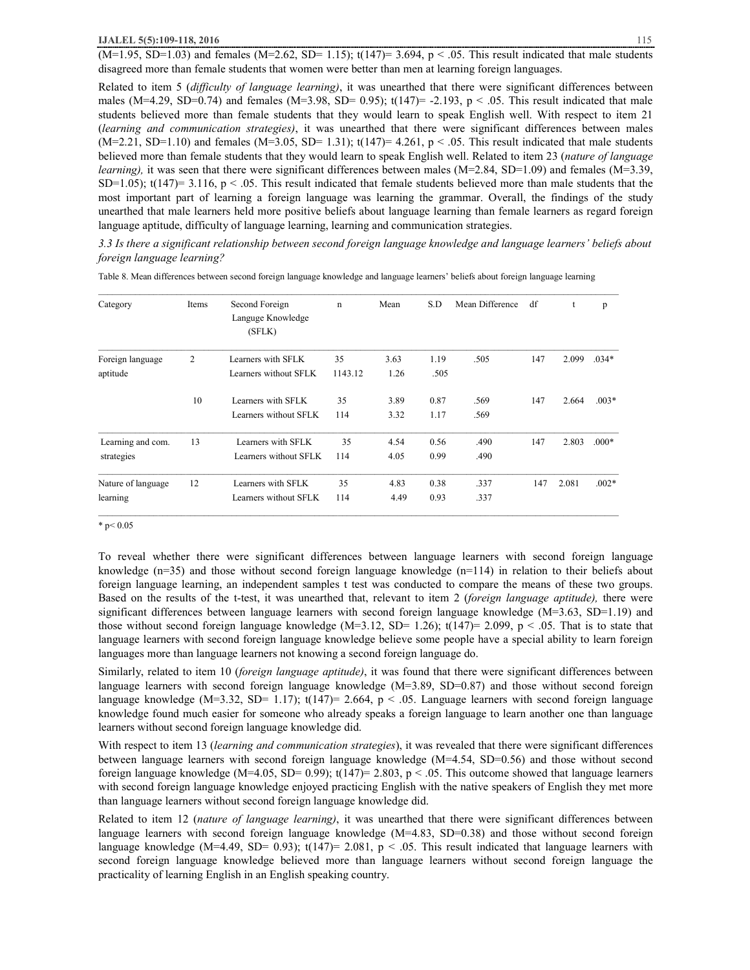$(M=1.95, SD=1.03)$  and females  $(M=2.62, SD= 1.15)$ ;  $t(147)=3.694, p < .05$ . This result indicated that male students disagreed more than female students that women were better than men at learning foreign languages.

Related to item 5 (*difficulty of language learning)*, it was unearthed that there were significant differences between males (M=4.29, SD=0.74) and females (M=3.98, SD= 0.95);  $t(147)$ = -2.193, p < .05. This result indicated that male students believed more than female students that they would learn to speak English well. With respect to item 21 (*learning and communication strategies)*, it was unearthed that there were significant differences between males  $(M=2.21, SD=1.10)$  and females  $(M=3.05, SD=1.31)$ ;  $t(147)=4.261, p < .05$ . This result indicated that male students believed more than female students that they would learn to speak English well. Related to item 23 (*nature of language learning*), it was seen that there were significant differences between males (M=2.84, SD=1.09) and females (M=3.39, SD=1.05);  $t(147)$ = 3.116,  $p < .05$ . This result indicated that female students believed more than male students that the most important part of learning a foreign language was learning the grammar. Overall, the findings of the study unearthed that male learners held more positive beliefs about language learning than female learners as regard foreign language aptitude, difficulty of language learning, learning and communication strategies.

*3.3 Is there a significant relationship between second foreign language knowledge and language learners' beliefs about foreign language learning?* 

| Category           | Items          | Second Foreign<br>Languge Knowledge<br>(SFLK) | $\mathbf n$ | Mean | S.D  | Mean Difference | df  | t     | p       |
|--------------------|----------------|-----------------------------------------------|-------------|------|------|-----------------|-----|-------|---------|
| Foreign language   | $\overline{2}$ | Learners with SFLK                            | 35          | 3.63 | 1.19 | .505            | 147 | 2.099 | $.034*$ |
| aptitude           |                | Learners without SFLK                         | 1143.12     | 1.26 | .505 |                 |     |       |         |
|                    | 10             | Learners with SFLK                            | 35          | 3.89 | 0.87 | .569            | 147 | 2.664 | $.003*$ |
|                    |                | Learners without SFLK                         | 114         | 3.32 | 1.17 | .569            |     |       |         |
| Learning and com.  | 13             | Learners with SFLK                            | 35          | 4.54 | 0.56 | .490            | 147 | 2.803 | $.000*$ |
| strategies         |                | Learners without SFLK                         | 114         | 4.05 | 0.99 | .490            |     |       |         |
| Nature of language | 12             | Learners with SFLK                            | 35          | 4.83 | 0.38 | .337            | 147 | 2.081 | $.002*$ |
| learning           |                | Learners without SFLK                         | 114         | 4.49 | 0.93 | .337            |     |       |         |

Table 8. Mean differences between second foreign language knowledge and language learners' beliefs about foreign language learning

 $*$  p< 0.05

To reveal whether there were significant differences between language learners with second foreign language knowledge (n=35) and those without second foreign language knowledge (n=114) in relation to their beliefs about foreign language learning, an independent samples t test was conducted to compare the means of these two groups. Based on the results of the t-test, it was unearthed that, relevant to item 2 (*foreign language aptitude),* there were significant differences between language learners with second foreign language knowledge (M=3.63, SD=1.19) and those without second foreign language knowledge (M=3.12, SD= 1.26); t(147)= 2.099,  $p < .05$ . That is to state that language learners with second foreign language knowledge believe some people have a special ability to learn foreign languages more than language learners not knowing a second foreign language do.

Similarly, related to item 10 (*foreign language aptitude)*, it was found that there were significant differences between language learners with second foreign language knowledge (M=3.89, SD=0.87) and those without second foreign language knowledge (M=3.32, SD= 1.17);  $t(147)$ = 2.664,  $p < .05$ . Language learners with second foreign language knowledge found much easier for someone who already speaks a foreign language to learn another one than language learners without second foreign language knowledge did.

With respect to item 13 (*learning and communication strategies*), it was revealed that there were significant differences between language learners with second foreign language knowledge (M=4.54, SD=0.56) and those without second foreign language knowledge (M=4.05, SD= 0.99);  $t(147)=2.803$ ,  $p < .05$ . This outcome showed that language learners with second foreign language knowledge enjoyed practicing English with the native speakers of English they met more than language learners without second foreign language knowledge did.

Related to item 12 (*nature of language learning)*, it was unearthed that there were significant differences between language learners with second foreign language knowledge (M=4.83, SD=0.38) and those without second foreign language knowledge (M=4.49, SD= 0.93);  $t(147)$ = 2.081,  $p < .05$ . This result indicated that language learners with second foreign language knowledge believed more than language learners without second foreign language the practicality of learning English in an English speaking country.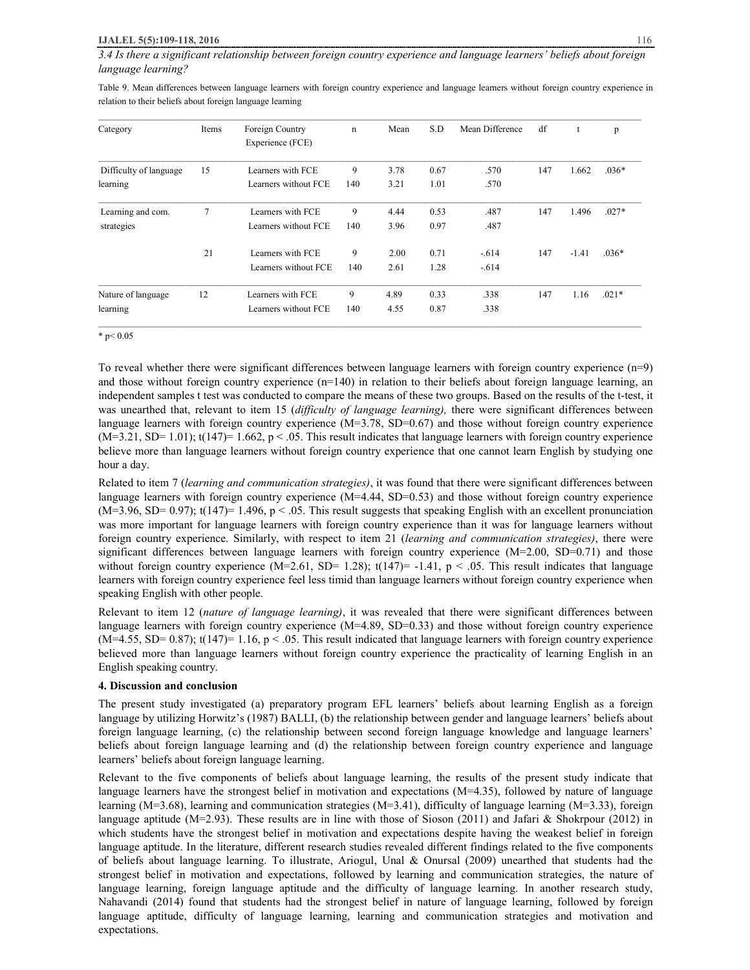Table 9. Mean differences between language learners with foreign country experience and language learners without foreign country experience in relation to their beliefs about foreign language learning

| Category               | Items | Foreign Country<br>Experience (FCE) | $\mathbf n$ | Mean | S.D  | Mean Difference | df  | t       | p       |
|------------------------|-------|-------------------------------------|-------------|------|------|-----------------|-----|---------|---------|
| Difficulty of language | 15    | Learners with FCE                   | 9           | 3.78 | 0.67 | .570            | 147 | 1.662   | $.036*$ |
| learning               |       | Learners without FCE                | 140         | 3.21 | 1.01 | .570            |     |         |         |
| Learning and com.      | 7     | Learners with FCE                   | 9           | 4.44 | 0.53 | .487            | 147 | 1.496   | $.027*$ |
| strategies             |       | Learners without FCE                | 140         | 3.96 | 0.97 | .487            |     |         |         |
|                        | 21    | Learners with FCE                   | 9           | 2.00 | 0.71 | $-.614$         | 147 | $-1.41$ | $.036*$ |
|                        |       | Learners without FCE                | 140         | 2.61 | 1.28 | $-614$          |     |         |         |
| Nature of language     | 12    | Learners with FCE                   | 9           | 4.89 | 0.33 | .338            | 147 | 1.16    | $.021*$ |
| learning               |       | Learners without FCE                | 140         | 4.55 | 0.87 | .338            |     |         |         |

#### $*$  p< 0.05

To reveal whether there were significant differences between language learners with foreign country experience (n=9) and those without foreign country experience  $(n=140)$  in relation to their beliefs about foreign language learning, an independent samples t test was conducted to compare the means of these two groups. Based on the results of the t-test, it was unearthed that, relevant to item 15 (*difficulty of language learning),* there were significant differences between language learners with foreign country experience  $(M=3.78, SD=0.67)$  and those without foreign country experience  $(M=3.21, SD= 1.01)$ ; t(147)= 1.662, p < .05. This result indicates that language learners with foreign country experience believe more than language learners without foreign country experience that one cannot learn English by studying one hour a day.

Related to item 7 (*learning and communication strategies)*, it was found that there were significant differences between language learners with foreign country experience (M=4.44, SD=0.53) and those without foreign country experience  $(M=3.96, SD= 0.97)$ ; t(147)= 1.496, p < .05. This result suggests that speaking English with an excellent pronunciation was more important for language learners with foreign country experience than it was for language learners without foreign country experience. Similarly, with respect to item 21 (*learning and communication strategies)*, there were significant differences between language learners with foreign country experience (M=2.00, SD=0.71) and those without foreign country experience (M=2.61, SD= 1.28);  $t(147)= -1.41$ ,  $p < .05$ . This result indicates that language learners with foreign country experience feel less timid than language learners without foreign country experience when speaking English with other people.

Relevant to item 12 (*nature of language learning)*, it was revealed that there were significant differences between language learners with foreign country experience (M=4.89, SD=0.33) and those without foreign country experience  $(M=4.55, SD= 0.87)$ ; t(147)= 1.16, p < .05. This result indicated that language learners with foreign country experience believed more than language learners without foreign country experience the practicality of learning English in an English speaking country.

## **4. Discussion and conclusion**

The present study investigated (a) preparatory program EFL learners' beliefs about learning English as a foreign language by utilizing Horwitz's (1987) BALLI, (b) the relationship between gender and language learners' beliefs about foreign language learning, (c) the relationship between second foreign language knowledge and language learners' beliefs about foreign language learning and (d) the relationship between foreign country experience and language learners' beliefs about foreign language learning.

Relevant to the five components of beliefs about language learning, the results of the present study indicate that language learners have the strongest belief in motivation and expectations (M=4.35), followed by nature of language learning (M=3.68), learning and communication strategies (M=3.41), difficulty of language learning (M=3.33), foreign language aptitude (M=2.93). These results are in line with those of Sioson (2011) and Jafari & Shokrpour (2012) in which students have the strongest belief in motivation and expectations despite having the weakest belief in foreign language aptitude. In the literature, different research studies revealed different findings related to the five components of beliefs about language learning. To illustrate, Ariogul, Unal & Onursal (2009) unearthed that students had the strongest belief in motivation and expectations, followed by learning and communication strategies, the nature of language learning, foreign language aptitude and the difficulty of language learning. In another research study, Nahavandi (2014) found that students had the strongest belief in nature of language learning, followed by foreign language aptitude, difficulty of language learning, learning and communication strategies and motivation and expectations.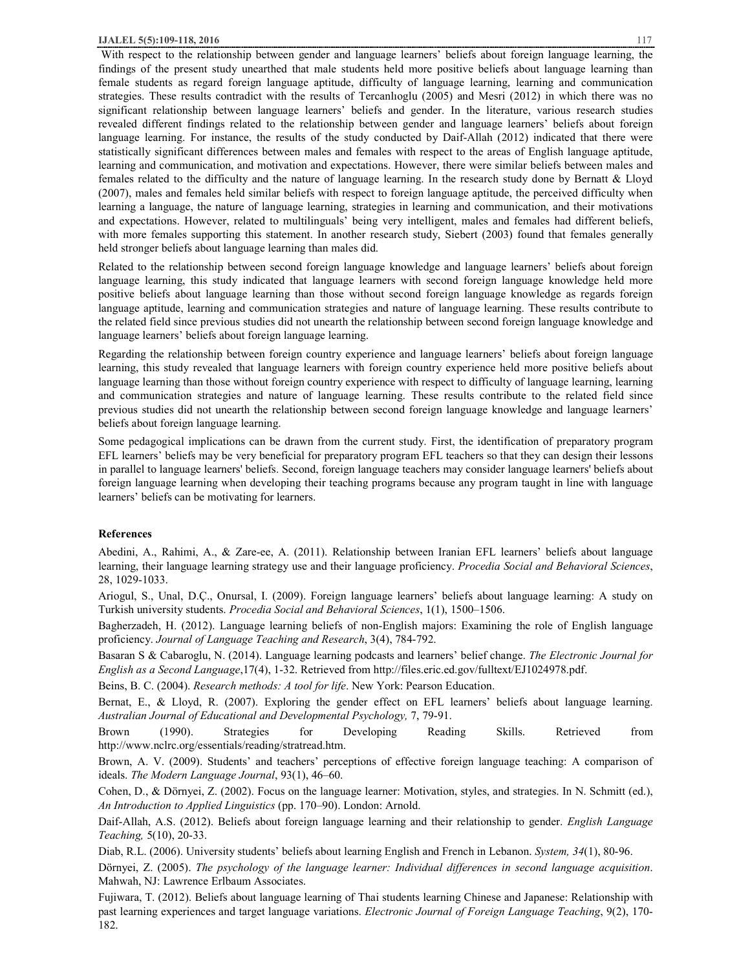With respect to the relationship between gender and language learners' beliefs about foreign language learning, the findings of the present study unearthed that male students held more positive beliefs about language learning than female students as regard foreign language aptitude, difficulty of language learning, learning and communication strategies. These results contradict with the results of Tercanlıoglu (2005) and Mesri (2012) in which there was no significant relationship between language learners' beliefs and gender. In the literature, various research studies revealed different findings related to the relationship between gender and language learners' beliefs about foreign language learning. For instance, the results of the study conducted by Daif-Allah (2012) indicated that there were statistically significant differences between males and females with respect to the areas of English language aptitude, learning and communication, and motivation and expectations. However, there were similar beliefs between males and females related to the difficulty and the nature of language learning. In the research study done by Bernatt & Lloyd (2007), males and females held similar beliefs with respect to foreign language aptitude, the perceived difficulty when learning a language, the nature of language learning, strategies in learning and communication, and their motivations and expectations. However, related to multilinguals' being very intelligent, males and females had different beliefs, with more females supporting this statement. In another research study, Siebert (2003) found that females generally held stronger beliefs about language learning than males did.

Related to the relationship between second foreign language knowledge and language learners' beliefs about foreign language learning, this study indicated that language learners with second foreign language knowledge held more positive beliefs about language learning than those without second foreign language knowledge as regards foreign language aptitude, learning and communication strategies and nature of language learning. These results contribute to the related field since previous studies did not unearth the relationship between second foreign language knowledge and language learners' beliefs about foreign language learning.

Regarding the relationship between foreign country experience and language learners' beliefs about foreign language learning, this study revealed that language learners with foreign country experience held more positive beliefs about language learning than those without foreign country experience with respect to difficulty of language learning, learning and communication strategies and nature of language learning. These results contribute to the related field since previous studies did not unearth the relationship between second foreign language knowledge and language learners' beliefs about foreign language learning.

Some pedagogical implications can be drawn from the current study. First, the identification of preparatory program EFL learners' beliefs may be very beneficial for preparatory program EFL teachers so that they can design their lessons in parallel to language learners' beliefs. Second, foreign language teachers may consider language learners' beliefs about foreign language learning when developing their teaching programs because any program taught in line with language learners' beliefs can be motivating for learners.

## **References**

Abedini, A., Rahimi, A., & Zare-ee, A. (2011). Relationship between Iranian EFL learners' beliefs about language learning, their language learning strategy use and their language proficiency. *Procedia Social and Behavioral Sciences*, 28, 1029-1033.

Ariogul, S., Unal, D.Ç., Onursal, I. (2009). Foreign language learners' beliefs about language learning: A study on Turkish university students. *Procedia Social and Behavioral Sciences*, 1(1), 1500–1506.

Bagherzadeh, H. (2012). Language learning beliefs of non-English majors: Examining the role of English language proficiency. *Journal of Language Teaching and Research*, 3(4), 784-792.

Basaran S & Cabaroglu, N. (2014). Language learning podcasts and learners' belief change. *The Electronic Journal for English as a Second Language*,17(4), 1-32. Retrieved from http://files.eric.ed.gov/fulltext/EJ1024978.pdf.

Beins, B. C. (2004). *Research methods: A tool for life*. New York: Pearson Education.

Bernat, E., & Lloyd, R. (2007). Exploring the gender effect on EFL learners' beliefs about language learning. *Australian Journal of Educational and Developmental Psychology,* 7, 79-91.

Brown (1990). Strategies for Developing Reading Skills. Retrieved from http://www.nclrc.org/essentials/reading/stratread.htm.

Brown, A. V. (2009). Students' and teachers' perceptions of effective foreign language teaching: A comparison of ideals. *The Modern Language Journal*, 93(1), 46–60.

Cohen, D., & Dörnyei, Z. (2002). Focus on the language learner: Motivation, styles, and strategies. In N. Schmitt (ed.), *An Introduction to Applied Linguistics* (pp. 170–90). London: Arnold.

Daif-Allah, A.S. (2012). Beliefs about foreign language learning and their relationship to gender. *English Language Teaching,* 5(10), 20-33.

Diab, R.L. (2006). University students' beliefs about learning English and French in Lebanon. *System, 34*(1), 80-96.

Dörnyei, Z. (2005). *The psychology of the language learner: Individual differences in second language acquisition*. Mahwah, NJ: Lawrence Erlbaum Associates.

Fujiwara, T. (2012). Beliefs about language learning of Thai students learning Chinese and Japanese: Relationship with past learning experiences and target language variations. *Electronic Journal of Foreign Language Teaching*, 9(2), 170- 182.